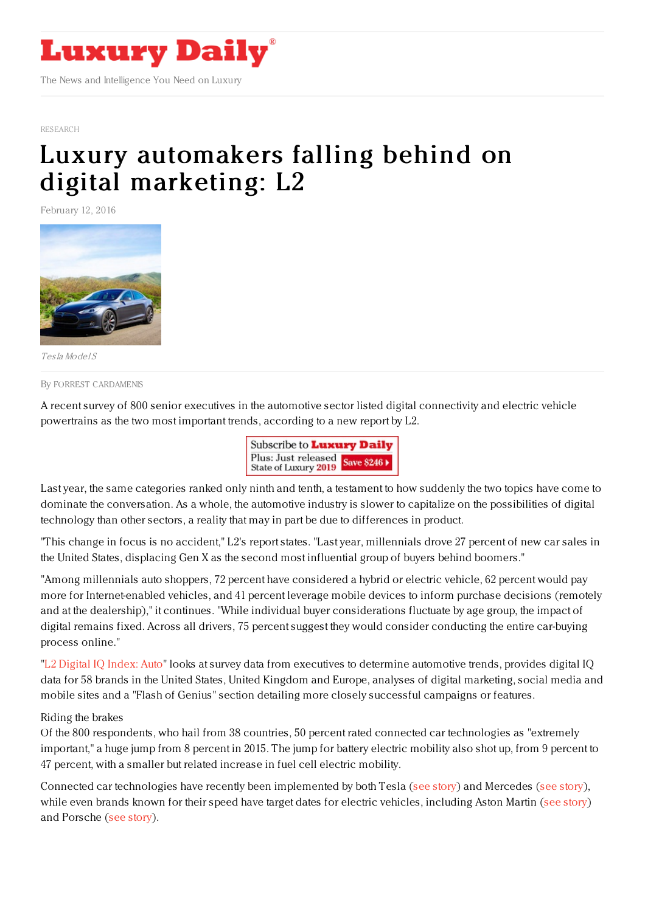

[RESEARCH](https://www.luxurydaily.com/category/news/research/)

# Luxury [automakers](https://www.luxurydaily.com/luxury-automakers-falling-behind-on-digital-marketing-l2/) falling behind on digital marketing: L2

February 12, 2016



Tesla Model S

By FORREST [CARDAMENIS](file:///author/forrest-cardamenis)

A recent survey of 800 senior executives in the automotive sector listed digital connectivity and electric vehicle powertrains as the two most important trends, according to a new report by L2.

| Subscribe to <b>Luxury Daily</b>                       |  |
|--------------------------------------------------------|--|
| Plus: Just released<br>State of Luxury 2019 Save \$246 |  |

Last year, the same categories ranked only ninth and tenth, a testament to how suddenly the two topics have come to dominate the conversation. As a whole, the automotive industry is slower to capitalize on the possibilities of digital technology than other sectors, a reality that may in part be due to differences in product.

"This change in focus is no accident," L2's report states. "Last year, millennials drove 27 percent of new car sales in the United States, displacing Gen X as the second most influential group of buyers behind boomers."

"Among millennials auto shoppers, 72 percent have considered a hybrid or electric vehicle, 62 percent would pay more for Internet-enabled vehicles, and 41 percent leverage mobile devices to inform purchase decisions (remotely and at the dealership)," it continues. "While individual buyer considerations fluctuate by age group, the impact of digital remains fixed. Across all drivers, 75 percent suggest they would consider conducting the entire car-buying process online."

"L2 [Digital](http://www.l2inc.com/research/auto-2016?utm_source=et&utm_medium=email&utm_content=auto-2016&utm_campaign=email) IQ Index: Auto" looks at survey data from executives to determine automotive trends, provides digital IQ data for 58 brands in the United States, United Kingdom and Europe, analyses of digital marketing, social media and mobile sites and a "Flash of Genius" section detailing more closely successful campaigns or features.

#### Riding the brakes

Of the 800 respondents, who hail from 38 countries, 50 percent rated connected car technologies as "extremely important," a huge jump from 8 percent in 2015. The jump for battery electric mobility also shot up, from 9 percent to 47 percent, with a smaller but related increase in fuel cell electric mobility.

Connected car technologies have recently been implemented by both Tesla (see [story](https://www.luxurydaily.com/tesla-brings-the-home-into-the-car-with-eve-connect/)) and Mercedes (see [story](https://www.luxurydaily.com/mercedes-benz-unlocks-the-road-to-autonomy-with-connected-car-app/)), while even brands known for their speed have target dates for electric vehicles, including Aston Martin (see [story](https://www.luxurydaily.com/aston-martin-keeps-foot-on-the-gas-pedal-with-new-concept-car/)) and Porsche (see [story](https://www.luxurydaily.com/porsche-begins-new-chapter-with-electric-mission-e/)).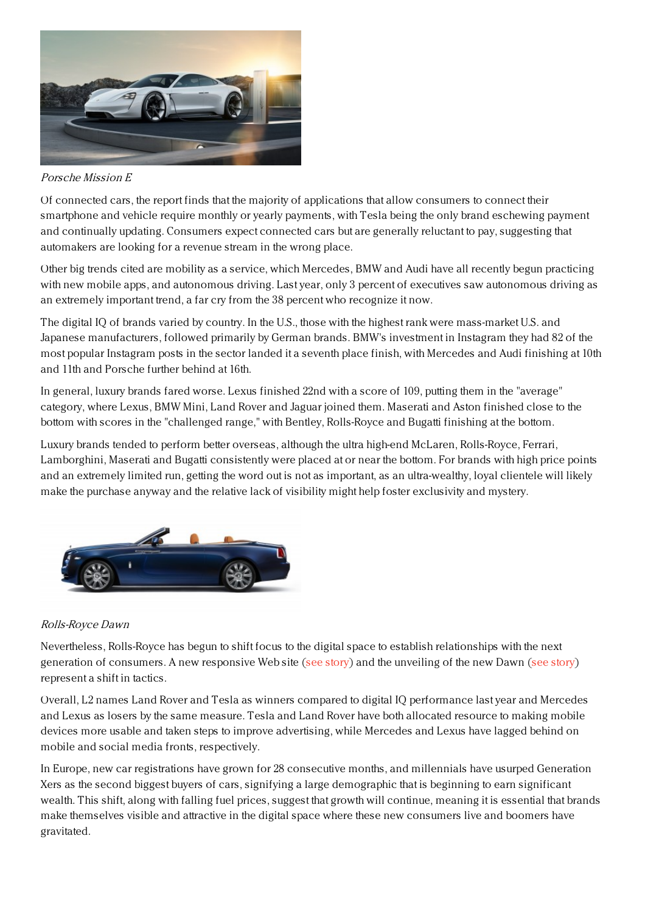

### Porsche Mission E

Of connected cars, the report finds that the majority of applications that allow consumers to connect their smartphone and vehicle require monthly or yearly payments, with Tesla being the only brand eschewing payment and continually updating. Consumers expect connected cars but are generally reluctant to pay, suggesting that automakers are looking for a revenue stream in the wrong place.

Other big trends cited are mobility as a service, which Mercedes, BMW and Audi have all recently begun practicing with new mobile apps, and autonomous driving. Last year, only 3 percent of executives saw autonomous driving as an extremely important trend, a far cry from the 38 percent who recognize it now.

The digital IQ of brands varied by country. In the U.S., those with the highest rank were mass-market U.S. and Japanese manufacturers, followed primarily by German brands. BMW's investment in Instagram they had 82 of the most popular Instagram posts in the sector landed it a seventh place finish, with Mercedes and Audi finishing at 10th and 11th and Porsche further behind at 16th.

In general, luxury brands fared worse. Lexus finished 22nd with a score of 109, putting them in the "average" category, where Lexus, BMW Mini, Land Rover and Jaguar joined them. Maserati and Aston finished close to the bottom with scores in the "challenged range," with Bentley, Rolls-Royce and Bugatti finishing at the bottom.

Luxury brands tended to perform better overseas, although the ultra high-end McLaren, Rolls-Royce, Ferrari, Lamborghini, Maserati and Bugatti consistently were placed at or near the bottom. For brands with high price points and an extremely limited run, getting the word out is not as important, as an ultra-wealthy, loyal clientele will likely make the purchase anyway and the relative lack of visibility might help foster exclusivity and mystery.



## Rolls-Royce Dawn

Nevertheless, Rolls-Royce has begun to shift focus to the digital space to establish relationships with the next generation of consumers. A new responsive Web site (see [story](https://www.luxurydaily.com/rolls-royce-gets-responsive-to-reach-consumers-more-efficiently/)) and the unveiling of the new Dawn (see [story](https://www.luxurydaily.com/rolls-royce-gets-responsive-to-reach-consumers-more-efficiently/)) represent a shift in tactics.

Overall, L2 names Land Rover and Tesla as winners compared to digital IQ performance last year and Mercedes and Lexus as losers by the same measure. Tesla and Land Rover have both allocated resource to making mobile devices more usable and taken steps to improve advertising, while Mercedes and Lexus have lagged behind on mobile and social media fronts, respectively.

In Europe, new car registrations have grown for 28 consecutive months, and millennials have usurped Generation Xers as the second biggest buyers of cars, signifying a large demographic that is beginning to earn significant wealth. This shift, along with falling fuel prices, suggest that growth will continue, meaning it is essential that brands make themselves visible and attractive in the digital space where these new consumers live and boomers have gravitated.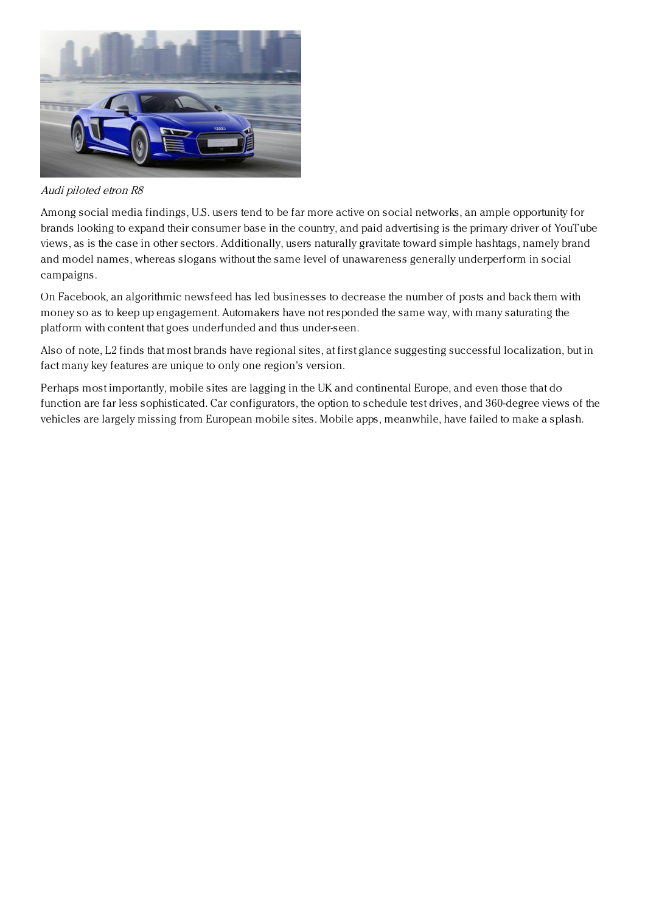

Audi piloted etron R8

Among social media findings, U.S. users tend to be far more active on social networks, an ample opportunity for brands looking to expand their consumer base in the country, and paid advertising is the primary driver of YouTube views, as is the case in other sectors. Additionally, users naturally gravitate toward simple hashtags, namely brand and model names, whereas slogans without the same level of unawareness generally underperform in social campaigns.

On Facebook, an algorithmic newsfeed has led businesses to decrease the number of posts and back them with money so as to keep up engagement. Automakers have not responded the same way, with many saturating the platform with content that goes underfunded and thus under-seen.

Also of note, L2 finds that most brands have regional sites, at first glance suggesting successful localization, but in fact many key features are unique to only one region's version.

Perhaps most importantly, mobile sites are lagging in the UK and continental Europe, and even those that do function are far less sophisticated. Car configurators, the option to schedule test drives, and 360-degree views of the vehicles are largely missing from European mobile sites. Mobile apps, meanwhile, have failed to make a splash.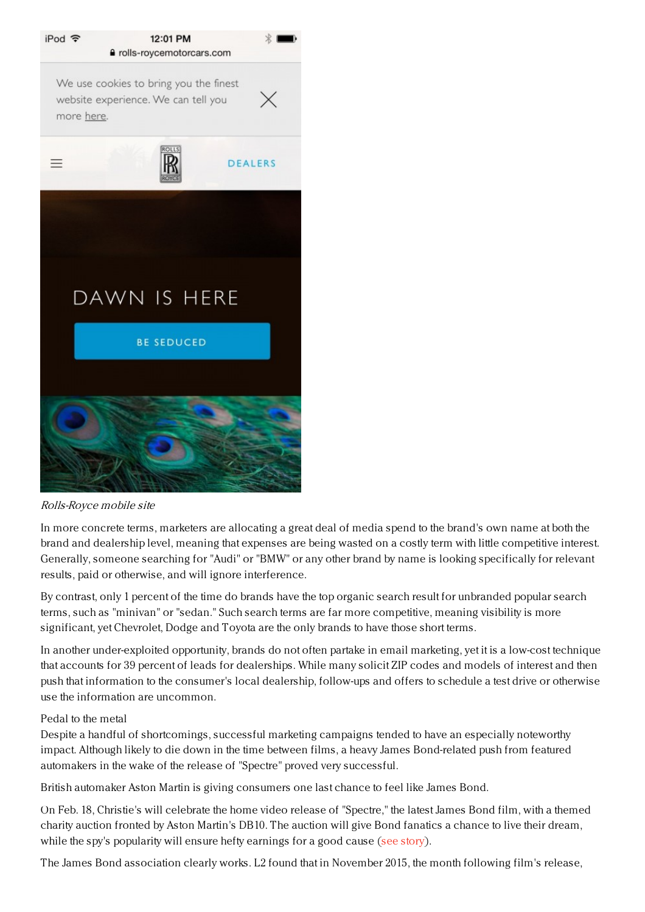

Rolls-Royce mobile site

In more concrete terms, marketers are allocating a great deal of media spend to the brand's own name at both the brand and dealership level, meaning that expenses are being wasted on a costly term with little competitive interest. Generally, someone searching for "Audi" or "BMW" or any other brand by name is looking specifically for relevant results, paid or otherwise, and will ignore interference.

By contrast, only 1 percent of the time do brands have the top organic search result for unbranded popular search terms, such as "minivan" or "sedan." Such search terms are far more competitive, meaning visibility is more significant, yet Chevrolet, Dodge and Toyota are the only brands to have those short terms.

In another under-exploited opportunity, brands do not often partake in email marketing, yet it is a low-cost technique that accounts for 39 percent of leads for dealerships. While many solicit ZIP codes and models of interest and then push that information to the consumer's local dealership, follow-ups and offers to schedule a test drive or otherwise use the information are uncommon.

## Pedal to the metal

Despite a handful of shortcomings, successful marketing campaigns tended to have an especially noteworthy impact. Although likely to die down in the time between films, a heavy James Bond-related push from featured automakers in the wake of the release of "Spectre" proved very successful.

British automaker Aston Martin is giving consumers one last chance to feel like James Bond.

On Feb. 18, Christie's will celebrate the home video release of "Spectre," the latest James Bond film, with a themed charity auction fronted by Aston Martin's DB10. The auction will give Bond fanatics a chance to live their dream, while the spy's popularity will ensure hefty earnings for a good cause (see [story](https://www.luxurydaily.com/aston-martin-and-christies-to-auction-off-bond-car-for-charity/)).

The James Bond association clearly works. L2 found that in November 2015, the month following film's release,